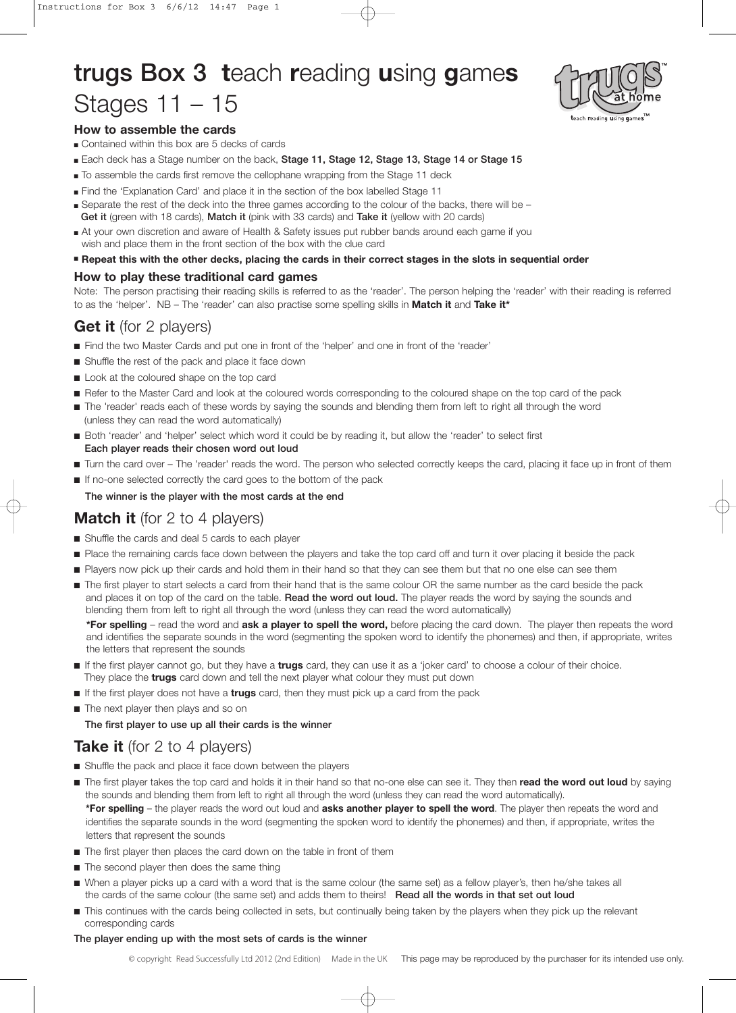# trugs Box 3 **t**each **r**eading **u**sing **g**ame**s** Stages 11 – 15



## **How to assemble the cards**

- Contained within this box are 5 decks of cards
- Each deck has a Stage number on the back, Stage 11, Stage 12, Stage 13, Stage 14 or Stage 15
- To assemble the cards first remove the cellophane wrapping from the Stage 11 deck
- Find the 'Explanation Card' and place it in the section of the box labelled Stage 11
- Separate the rest of the deck into the three games according to the colour of the backs, there will be –
- Get it (green with 18 cards), Match it (pink with 33 cards) and Take it (yellow with 20 cards) ■ At your own discretion and aware of Health & Safety issues put rubber bands around each game if you
- wish and place them in the front section of the box with the clue card
- **Repeat this with the other decks, placing the cards in their correct stages in the slots in sequential order**

### **How to play these traditional card games**

Note: The person practising their reading skills is referred to as the 'reader'. The person helping the 'reader' with their reading is referred to as the 'helper'. NB – The 'reader' can also practise some spelling skills in **Match it** and **Take it\***

# **Get it** (for 2 players)

- Find the two Master Cards and put one in front of the 'helper' and one in front of the 'reader'
- Shuffle the rest of the pack and place it face down
- Look at the coloured shape on the top card
- Refer to the Master Card and look at the coloured words corresponding to the coloured shape on the top card of the pack
- The 'reader' reads each of these words by saying the sounds and blending them from left to right all through the word (unless they can read the word automatically)
- Both 'reader' and 'helper' select which word it could be by reading it, but allow the 'reader' to select first Each player reads their chosen word out loud
- Turn the card over The 'reader' reads the word. The person who selected correctly keeps the card, placing it face up in front of them
- If no-one selected correctly the card goes to the bottom of the pack

### The winner is the player with the most cards at the end

# **Match it** (for 2 to 4 players)

- Shuffle the cards and deal 5 cards to each player
- Place the remaining cards face down between the players and take the top card off and turn it over placing it beside the pack
- Players now pick up their cards and hold them in their hand so that they can see them but that no one else can see them
- The first player to start selects a card from their hand that is the same colour OR the same number as the card beside the pack and places it on top of the card on the table. Read the word out loud. The player reads the word by saying the sounds and blending them from left to right all through the word (unless they can read the word automatically)

**\*For spelling** – read the word and **ask a player to spell the word,** before placing the card down. The player then repeats the word and identifies the separate sounds in the word (segmenting the spoken word to identify the phonemes) and then, if appropriate, writes the letters that represent the sounds

- If the first player cannot go, but they have a **trugs** card, they can use it as a 'joker card' to choose a colour of their choice. They place the **trugs** card down and tell the next player what colour they must put down
- If the first player does not have a **trugs** card, then they must pick up a card from the pack
- The next player then plays and so on

The first player to use up all their cards is the winner

# **Take it** (for 2 to 4 players)

- Shuffle the pack and place it face down between the players
- The first player takes the top card and holds it in their hand so that no-one else can see it. They then read the word out loud by saying the sounds and blending them from left to right all through the word (unless they can read the word automatically). **\*For spelling** – the player reads the word out loud and **asks another player to spell the word**. The player then repeats the word and identifies the separate sounds in the word (segmenting the spoken word to identify the phonemes) and then, if appropriate, writes the letters that represent the sounds
- The first player then places the card down on the table in front of them
- The second player then does the same thing
- When a player picks up a card with a word that is the same colour (the same set) as a fellow player's, then he/she takes all the cards of the same colour (the same set) and adds them to theirs! Read all the words in that set out loud
- This continues with the cards being collected in sets, but continually being taken by the players when they pick up the relevant corresponding cards

#### The player ending up with the most sets of cards is the winner